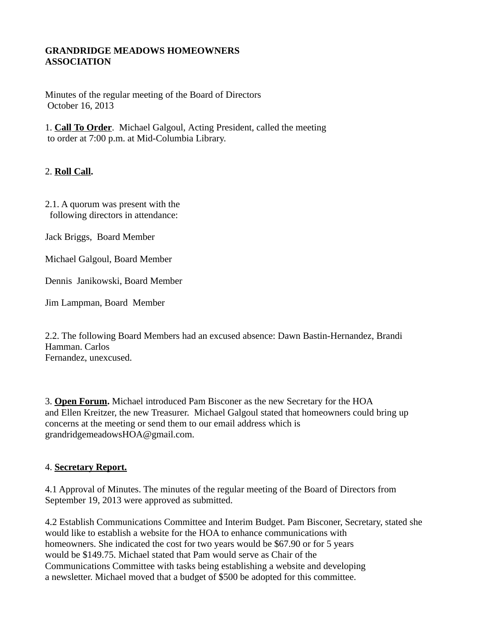#### **GRANDRIDGE MEADOWS HOMEOWNERS ASSOCIATION**

Minutes of the regular meeting of the Board of Directors October 16, 2013

1. **Call To Order**. Michael Galgoul, Acting President, called the meeting to order at 7:00 p.m. at Mid-Columbia Library.

#### 2. **Roll Call.**

2.1. A quorum was present with the following directors in attendance:

Jack Briggs, Board Member

Michael Galgoul, Board Member

Dennis Janikowski, Board Member

Jim Lampman, Board Member

2.2. The following Board Members had an excused absence: Dawn Bastin-Hernandez, Brandi Hamman. Carlos Fernandez, unexcused.

3. **Open Forum.** Michael introduced Pam Bisconer as the new Secretary for the HOA and Ellen Kreitzer, the new Treasurer. Michael Galgoul stated that homeowners could bring up concerns at the meeting or send them to our email address which is grandridgemeadowsHOA@gmail.com.

#### 4. **Secretary Report.**

4.1 Approval of Minutes. The minutes of the regular meeting of the Board of Directors from September 19, 2013 were approved as submitted.

4.2 Establish Communications Committee and Interim Budget. Pam Bisconer, Secretary, stated she would like to establish a website for the HOA to enhance communications with homeowners. She indicated the cost for two years would be \$67.90 or for 5 years would be \$149.75. Michael stated that Pam would serve as Chair of the Communications Committee with tasks being establishing a website and developing a newsletter. Michael moved that a budget of \$500 be adopted for this committee.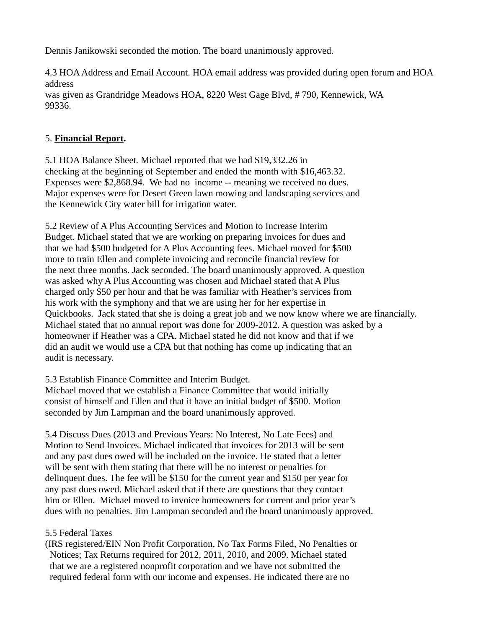Dennis Janikowski seconded the motion. The board unanimously approved.

4.3 HOA Address and Email Account. HOA email address was provided during open forum and HOA address was given as Grandridge Meadows HOA, 8220 West Gage Blvd, # 790, Kennewick, WA 99336.

### 5. **Financial Report.**

5.1 HOA Balance Sheet. Michael reported that we had \$19,332.26 in checking at the beginning of September and ended the month with \$16,463.32. Expenses were \$2,868.94. We had no income -- meaning we received no dues. Major expenses were for Desert Green lawn mowing and landscaping services and the Kennewick City water bill for irrigation water.

5.2 Review of A Plus Accounting Services and Motion to Increase Interim Budget. Michael stated that we are working on preparing invoices for dues and that we had \$500 budgeted for A Plus Accounting fees. Michael moved for \$500 more to train Ellen and complete invoicing and reconcile financial review for the next three months. Jack seconded. The board unanimously approved. A question was asked why A Plus Accounting was chosen and Michael stated that A Plus charged only \$50 per hour and that he was familiar with Heather's services from his work with the symphony and that we are using her for her expertise in Quickbooks. Jack stated that she is doing a great job and we now know where we are financially. Michael stated that no annual report was done for 2009-2012. A question was asked by a homeowner if Heather was a CPA. Michael stated he did not know and that if we did an audit we would use a CPA but that nothing has come up indicating that an audit is necessary.

5.3 Establish Finance Committee and Interim Budget.

Michael moved that we establish a Finance Committee that would initially consist of himself and Ellen and that it have an initial budget of \$500. Motion seconded by Jim Lampman and the board unanimously approved.

5.4 Discuss Dues (2013 and Previous Years: No Interest, No Late Fees) and Motion to Send Invoices. Michael indicated that invoices for 2013 will be sent and any past dues owed will be included on the invoice. He stated that a letter will be sent with them stating that there will be no interest or penalties for delinquent dues. The fee will be \$150 for the current year and \$150 per year for any past dues owed. Michael asked that if there are questions that they contact him or Ellen. Michael moved to invoice homeowners for current and prior year's dues with no penalties. Jim Lampman seconded and the board unanimously approved.

# 5.5 Federal Taxes

(IRS registered/EIN Non Profit Corporation, No Tax Forms Filed, No Penalties or Notices; Tax Returns required for 2012, 2011, 2010, and 2009. Michael stated that we are a registered nonprofit corporation and we have not submitted the required federal form with our income and expenses. He indicated there are no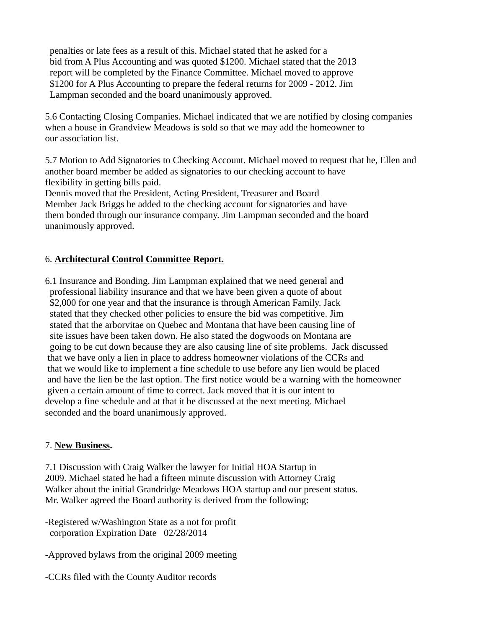penalties or late fees as a result of this. Michael stated that he asked for a bid from A Plus Accounting and was quoted \$1200. Michael stated that the 2013 report will be completed by the Finance Committee. Michael moved to approve \$1200 for A Plus Accounting to prepare the federal returns for 2009 - 2012. Jim Lampman seconded and the board unanimously approved.

5.6 Contacting Closing Companies. Michael indicated that we are notified by closing companies when a house in Grandview Meadows is sold so that we may add the homeowner to our association list.

5.7 Motion to Add Signatories to Checking Account. Michael moved to request that he, Ellen and another board member be added as signatories to our checking account to have flexibility in getting bills paid.

Dennis moved that the President, Acting President, Treasurer and Board Member Jack Briggs be added to the checking account for signatories and have them bonded through our insurance company. Jim Lampman seconded and the board unanimously approved.

## 6. **Architectural Control Committee Report.**

6.1 Insurance and Bonding. Jim Lampman explained that we need general and professional liability insurance and that we have been given a quote of about \$2,000 for one year and that the insurance is through American Family. Jack stated that they checked other policies to ensure the bid was competitive. Jim stated that the arborvitae on Quebec and Montana that have been causing line of site issues have been taken down. He also stated the dogwoods on Montana are going to be cut down because they are also causing line of site problems. Jack discussed that we have only a lien in place to address homeowner violations of the CCRs and that we would like to implement a fine schedule to use before any lien would be placed and have the lien be the last option. The first notice would be a warning with the homeowner given a certain amount of time to correct. Jack moved that it is our intent to develop a fine schedule and at that it be discussed at the next meeting. Michael seconded and the board unanimously approved.

#### 7. **New Business.**

7.1 Discussion with Craig Walker the lawyer for Initial HOA Startup in 2009. Michael stated he had a fifteen minute discussion with Attorney Craig Walker about the initial Grandridge Meadows HOA startup and our present status. Mr. Walker agreed the Board authority is derived from the following:

-Registered w/Washington State as a not for profit corporation Expiration Date 02/28/2014

-Approved bylaws from the original 2009 meeting

-CCRs filed with the County Auditor records